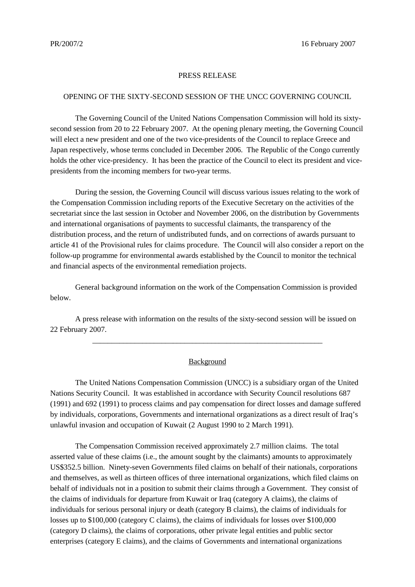## PRESS RELEASE

## OPENING OF THE SIXTY-SECOND SESSION OF THE UNCC GOVERNING COUNCIL

The Governing Council of the United Nations Compensation Commission will hold its sixtysecond session from 20 to 22 February 2007. At the opening plenary meeting, the Governing Council will elect a new president and one of the two vice-presidents of the Council to replace Greece and Japan respectively, whose terms concluded in December 2006. The Republic of the Congo currently holds the other vice-presidency. It has been the practice of the Council to elect its president and vicepresidents from the incoming members for two-year terms.

During the session, the Governing Council will discuss various issues relating to the work of the Compensation Commission including reports of the Executive Secretary on the activities of the secretariat since the last session in October and November 2006, on the distribution by Governments and international organisations of payments to successful claimants, the transparency of the distribution process, and the return of undistributed funds, and on corrections of awards pursuant to article 41 of the Provisional rules for claims procedure. The Council will also consider a report on the follow-up programme for environmental awards established by the Council to monitor the technical and financial aspects of the environmental remediation projects.

General background information on the work of the Compensation Commission is provided below.

A press release with information on the results of the sixty-second session will be issued on 22 February 2007.

## Background

\_\_\_\_\_\_\_\_\_\_\_\_\_\_\_\_\_\_\_\_\_\_\_\_\_\_\_\_\_\_\_\_\_\_\_\_\_\_\_\_\_\_\_\_\_\_\_\_\_\_\_\_\_\_\_\_\_\_\_\_

The United Nations Compensation Commission (UNCC) is a subsidiary organ of the United Nations Security Council. It was established in accordance with Security Council resolutions 687 (1991) and 692 (1991) to process claims and pay compensation for direct losses and damage suffered by individuals, corporations, Governments and international organizations as a direct result of Iraq's unlawful invasion and occupation of Kuwait (2 August 1990 to 2 March 1991).

The Compensation Commission received approximately 2.7 million claims. The total asserted value of these claims (i.e., the amount sought by the claimants) amounts to approximately US\$352.5 billion. Ninety-seven Governments filed claims on behalf of their nationals, corporations and themselves, as well as thirteen offices of three international organizations, which filed claims on behalf of individuals not in a position to submit their claims through a Government. They consist of the claims of individuals for departure from Kuwait or Iraq (category A claims), the claims of individuals for serious personal injury or death (category B claims), the claims of individuals for losses up to \$100,000 (category C claims), the claims of individuals for losses over \$100,000 (category D claims), the claims of corporations, other private legal entities and public sector enterprises (category E claims), and the claims of Governments and international organizations